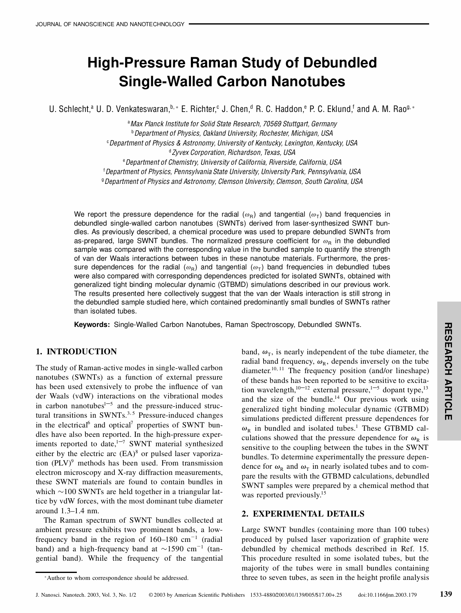# **High-Pressure Raman Study of Debundled Single-Walled Carbon Nanotubes**

U. Schlecht,<sup>a</sup> U. D. Venkateswaran,  $b^* \in R$ . Richter, <sup>c</sup> J. Chen, <sup>d</sup> R. C. Haddon, <sup>e</sup> P. C. Eklund, and A. M. Rao<sup>g, \*</sup>

<sup>a</sup>*Max Planck Institute for Solid State Research, 70569 Stuttgart, Germany* <sup>b</sup>*Department of Physics, Oakland University, Rochester, Michigan, USA* <sup>c</sup>*Department of Physics & Astronomy, University of Kentucky, Lexington, Kentucky, USA* <sup>d</sup>*Zyvex Corporation, Richardson, Texas, USA* <sup>e</sup>*Department of Chemistry, University of California, Riverside, California, USA* <sup>f</sup>*Department of Physics, Pennsylvania State University, University Park, Pennsylvania, USA* <sup>g</sup>*Department of Physics and Astronomy, Clemson University, Clemson, South Carolina, USA*

We report the pressure dependence for the radial  $(\omega_R)$  and tangential  $(\omega_T)$  band frequencies in debundled single-walled carbon nanotubes (SWNTs) derived from laser-synthesized SWNT bundles. As previously described, a chemical procedure was used to prepare debundled SWNTs from as-prepared, large SWNT bundles. The normalized pressure coefficient for  $\omega_{\rm R}$  in the debundled sample was compared with the corresponding value in the bundled sample to quantify the strength of van der Waals interactions between tubes in these nanotube materials. Furthermore, the pressure dependences for the radial  $(\omega_{\rm R})$  and tangential  $(\omega_{\rm T})$  band frequencies in debundled tubes were also compared with corresponding dependences predicted for isolated SWNTs, obtained with generalized tight binding molecular dynamic (GTBMD) simulations described in our previous work. The results presented here collectively suggest that the van der Waals interaction is still strong in the debundled sample studied here, which contained predominantly small bundles of SWNTs rather than isolated tubes.

**Keywords:** Single-Walled Carbon Nanotubes, Raman Spectroscopy, Debundled SWNTs.

#### **1. INTRODUCTION**

The study of Raman-active modes in single-walled carbon nanotubes (SWNTs) as a function of external pressure has been used extensively to probe the influence of van der Waals (vdW) interactions on the vibrational modes in carbon nanotubes $1-5$  and the pressure-induced structural transitions in SWNTs.<sup>3,5</sup> Pressure-induced changes in the electrical<sup>6</sup> and optical<sup>7</sup> properties of SWNT bundles have also been reported. In the high-pressure experiments reported to date, $1 - 7$  SWNT material synthesized either by the electric arc  $(EA)^8$  or pulsed laser vaporization  $(PLV)^9$  methods has been used. From transmission electron microscopy and X-ray diffraction measurements, these SWNT materials are found to contain bundles in which  $\sim$ 100 SWNTs are held together in a triangular lattice by vdW forces, with the most dominant tube diameter around 1.3–1.4 nm.

The Raman spectrum of SWNT bundles collected at ambient pressure exhibits two prominent bands, a lowfrequency band in the region of  $160-180$  cm<sup>-1</sup> (radial band) and a high-frequency band at  $\sim$ 1590 cm<sup>-1</sup> (tangential band). While the frequency of the tangential

band,  $\omega_{\text{T}}$ , is nearly independent of the tube diameter, the radial band frequency,  $\omega_R$ , depends inversely on the tube diameter.<sup>10, 11</sup> The frequency position (and/or lineshape) of these bands has been reported to be sensitive to excitation wavelength,<sup>10–12</sup> external pressure,<sup>1–5</sup> dopant type,<sup>13</sup> and the size of the bundle. $14$  Our previous work using generalized tight binding molecular dynamic (GTBMD) simulations predicted different pressure dependences for  $\omega_R$  in bundled and isolated tubes.<sup>1</sup> These GTBMD calculations showed that the pressure dependence for  $\omega_R$  is  $\parallel$ sensitive to the coupling between the tubes in the SWNT bundles. To determine experimentally the pressure dependence for  $\omega_R$  and  $\omega_T$  in nearly isolated tubes and to compare the results with the GTBMD calculations, debundled SWNT samples were prepared by a chemical method that was reported previously.<sup>15</sup>

## **2. EXPERIMENTAL DETAILS**

Large SWNT bundles (containing more than 100 tubes) produced by pulsed laser vaporization of graphite were debundled by chemical methods described in Ref. 15. This procedure resulted in some isolated tubes, but the majority of the tubes were in small bundles containing three to seven tubes, as seen in the height profile analysis **R**

<sup>¤</sup>Author to whom correspondence should be addressed.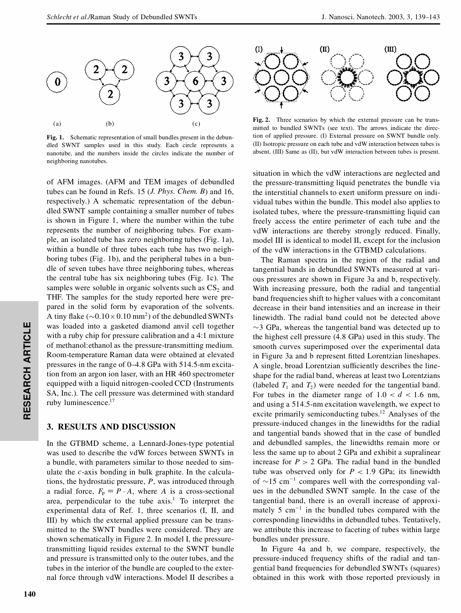

**Fig. 1.** Schematic representation of small bundles present in the debundled SWNT samples used in this study. Each circle represents a nanotube, and the numbers inside the circles indicate the number of neighboring nanotubes.

ruby luminescence.<sup>17</sup> SA, Inc.). The cell pressure was determined with standard equipped with a liquid nitrogen-cooled CCD (Instruments tion from an argon ion laser, with an HR 460 spectrometer pressures in the range of 0–4.8 GPa with 514.5-nm excita-**R**<br> **R**<br> **R**<br> **R**<br> **R**  Room-temperature Raman data were obtained at elevated with a ruby chip for pressure calibration and a 4*2*1 mixture was loaded into a gasketed diamond anvil cell together of AFM images. (AFM and TEM images of debundled tubes can be found in Refs. 15 (*J. Phys. Chem. B*) and 16, respectively.) A schematic representation of the debundled SWNT sample containing a smaller number of tubes is shown in Figure 1, where the number within the tube represents the number of neighboring tubes. For example, an isolated tube has zero neighboring tubes (Fig. 1a), within a bundle of three tubes each tube has two neighboring tubes (Fig. 1b), and the peripheral tubes in a bundle of seven tubes have three neighboring tubes, whereas the central tube has six neighboring tubes (Fig. 1c). The samples were soluble in organic solvents such as  $CS<sub>2</sub>$  and THF. The samples for the study reported here were prepared in the solid form by evaporation of the solvents. A tiny flake ( $\sim 0.10 \times 0.10$  mm<sup>2</sup>) of the debundled SWNTs of methanol:ethanol as the pressure-transmitting medium.

#### **3. RESULTS AND DISCUSSION**

In the GTBMD scheme, a Lennard-Jones-type potential was used to describe the vdW forces between SWNTs in a bundle, with parameters similar to those needed to simulate the *c*-axis bonding in bulk graphite. In the calculations, the hydrostatic pressure, *P*, was introduced through a radial force,  $F_P = P \cdot A$ , where *A* is a cross-sectional area, perpendicular to the tube  $axis.<sup>1</sup>$  To interpret the experimental data of Ref. 1, three scenarios (I, II, and III) by which the external applied pressure can be transmitted to the SWNT bundles were considered. They are shown schematically in Figure 2. In model I, the pressuretransmitting liquid resides external to the SWNT bundle and pressure is transmitted only to the outer tubes, and the tubes in the interior of the bundle are coupled to the external force through vdW interactions. Model II describes a

**R**

**ESEA**

**RC**

**H**

**A**



**Fig. 2.** Three scenarios by which the external pressure can be transmitted to bundled SWNTs (see text). The arrows indicate the direction of applied pressure. (I) External pressure on SWNT bundle only. (II) Isotropic pressure on each tube and vdW interaction between tubes is absent. (III) Same as (II), but vdW interaction between tubes is present.

situation in which the vdW interactions are neglected and the pressure-transmitting liquid penetrates the bundle via the interstitial channels to exert uniform pressure on individual tubes within the bundle. This model also applies to isolated tubes, where the pressure-transmitting liquid can freely access the entire perimeter of each tube and the vdW interactions are thereby strongly reduced. Finally, model III is identical to model II, except for the inclusion of the vdW interactions in the GTBMD calculations.

The Raman spectra in the region of the radial and tangential bands in debundled SWNTs measured at various pressures are shown in Figure 3a and b, respectively. With increasing pressure, both the radial and tangential band frequencies shift to higher values with a concomitant decrease in their band intensities and an increase in their linewidth. The radial band could not be detected above  $\sim$ 3 GPa, whereas the tangential band was detected up to the highest cell pressure (4.8 GPa) used in this study. The smooth curves superimposed over the experimental data in Figure 3a and b represent fitted Lorentzian lineshapes. A single, broad Lorentzian sufficiently describes the lineshape for the radial band, whereas at least two Lorentzians (labeled  $T_1$  and  $T_2$ ) were needed for the tangential band. For tubes in the diameter range of  $1.0 < d < 1.6$  nm, and using a 514.5-nm excitation wavelength, we expect to excite primarily semiconducting tubes.<sup>12</sup> Analyses of the pressure-induced changes in the linewidths for the radial and tangential bands showed that in the case of bundled and debundled samples, the linewidths remain more or less the same up to about 2 GPa and exhibit a supralinear increase for  $P > 2$  GPa. The radial band in the bundled tube was observed only for  $P < 1.9$  GPa; its linewidth of  $\sim$ 15 cm<sup>-1</sup> compares well with the corresponding values in the debundled SWNT sample. In the case of the tangential band, there is an overall increase of approximately 5  $cm^{-1}$  in the bundled tubes compared with the corresponding linewidths in debundled tubes. Tentatively, we attribute this increase to faceting of tubes within large bundles under pressure.

In Figure 4a and b, we compare, respectively, the pressure-induced frequency shifts of the radial and tangential band frequencies for debundled SWNTs (squares) obtained in this work with those reported previously in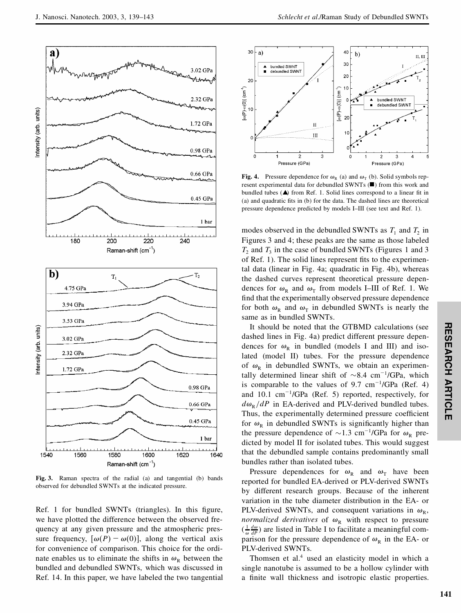

**Fig. 3.** Raman spectra of the radial (a) and tangential (b) bands observed for debundled SWNTs at the indicated pressure.

Ref. 1 for bundled SWNTs (triangles). In this figure, we have plotted the difference between the observed frequency at any given pressure and the atmospheric pressure frequency,  $[\omega(P) - \omega(0)]$ , along the vertical axis for convenience of comparison. This choice for the ordinate enables us to eliminate the shifts in  $\omega_R$  between the bundled and debundled SWNTs, which was discussed in Ref. 14. In this paper, we have labeled the two tangential



**Fig. 4.** Pressure dependence for  $\omega_R$  (a) and  $\omega_T$  (b). Solid symbols represent experimental data for debundled SWNTs  $(\blacksquare)$  from this work and bundled tubes  $($ **A** $)$  from Ref. 1. Solid lines correspond to a linear fit in (a) and quadratic fits in  $(b)$  for the data. The dashed lines are theoretical pressure dependence predicted by models I–III (see text and Ref. 1).

modes observed in the debundled SWNTs as  $T_1$  and  $T_2$  in Figures 3 and 4; these peaks are the same as those labeled  $T_2$  and  $T_3$  in the case of bundled SWNTs (Figures 1 and 3 of Ref. 1). The solid lines represent fits to the experimental data (linear in Fig. 4a; quadratic in Fig. 4b), whereas the dashed curves represent theoretical pressure dependences for  $\omega_R$  and  $\omega_T$  from models I–III of Ref. 1. We find that the experimentally observed pressure dependence for both  $\omega_R$  and  $\omega_T$  in debundled SWNTs is nearly the same as in bundled SWNTs.

It should be noted that the GTBMD calculations (see dashed lines in Fig. 4a) predict different pressure dependences for  $\omega_R$  in bundled (models I and III) and isolated (model II) tubes. For the pressure dependence of  $\omega_R$  in debundled SWNTs, we obtain an experimentally determined linear shift of  $\sim 8.4 \, \text{cm}^{-1}/\text{GPa}$ , which is comparable to the values of  $9.7 \text{ cm}^{-1}/\text{GPa}$  (Ref. 4) and  $10.1 \text{ cm}^{-1}/\text{GPa}$  (Ref. 5) reported, respectively, for  $d\omega_{\rm R}/dP$  in EA-derived and PLV-derived bundled tubes. Thus, the experimentally determined pressure coefficient for  $\omega_R$  in debundled SWNTs is significantly higher than the pressure dependence of  $\sim$ 1.3 cm<sup>-1</sup>/GPa for  $\omega_R$  predicted by model II for isolated tubes. This would suggest that the debundled sample contains predominantly small bundles rather than isolated tubes.

Pressure dependences for  $\omega_R$  and  $\omega_T$  have been reported for bundled EA-derived or PLV-derived SWNTs by different research groups. Because of the inherent variation in the tube diameter distribution in the EA- or PLV-derived SWNTs, and consequent variations in  $\omega_R$ , *normalized derivatives* of  $\omega_R$  with respect to pressure  $(\frac{1}{\omega} \frac{d\omega}{dP})$  are listed in Table I to facilitate a meaningful comparison for the pressure dependence of  $\omega_R$  in the EA- or PLV-derived SWNTs.

Thomsen et al.<sup>4</sup> used an elasticity model in which a single nanotube is assumed to be a hollow cylinder with a finite wall thickness and isotropic elastic properties.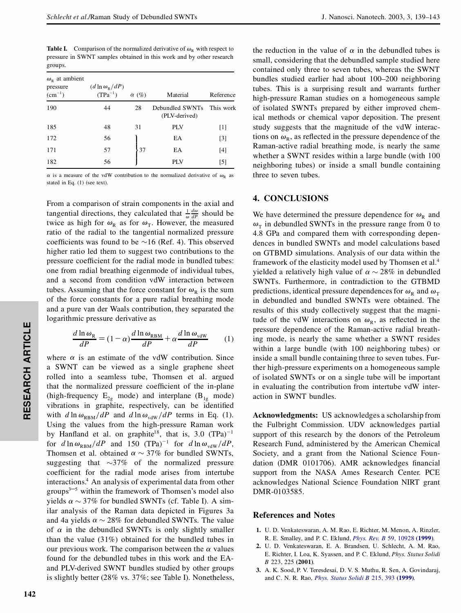**Table I.** Comparison of the normalized derivative of  $\omega_{\text{R}}$  with respect to pressure in SWNT samples obtained in this work and by other research groups.

| $\omega_{\rm p}$ at ambient<br>pressure<br>$(cm^{-1})$ | $(d \ln \omega_{R}/dP)$<br>$(TPa^{-1})$ | $\alpha$ (%) | Material                         | Reference         |
|--------------------------------------------------------|-----------------------------------------|--------------|----------------------------------|-------------------|
| 190                                                    | 44                                      | 28           | Debundled SWNTs<br>(PLV-derived) | This work         |
| 185                                                    | 48                                      | 31           | PLV                              | $\lceil 1 \rceil$ |
| 172                                                    | 56                                      |              | EA                               | $[3]$             |
| 171                                                    | 57                                      | 37           | EA                               | [4]               |
| 182                                                    | 56                                      |              | PLV                              | $\lceil 5 \rceil$ |

 $\alpha$  is a measure of the vdW contribution to the normalized derivative of  $\omega_R$  as stated in Eq. (1) (see text).

From a comparison of strain components in the axial and tangential directions, they calculated that  $\frac{1}{\omega} \frac{d\omega}{dP}$  should be twice as high for  $\omega_R$  as for  $\omega_T$ . However, the measured ratio of the radial to the tangential normalized pressure coefficients was found to be  $\sim$ 16 (Ref. 4). This observed higher ratio led them to suggest two contributions to the pressure coefficient for the radial mode in bundled tubes: one from radial breathing eigenmode of individual tubes, and a second from condition vdW interaction between tubes. Assuming that the force constant for  $\omega_R$  is the sum of the force constants for a pure radial breathing mode and a pure van der Waals contribution, they separated the logarithmic pressure derivative as

$$
\frac{d \ln \omega_{\rm R}}{dP} = (1 - \alpha) \frac{d \ln \omega_{\rm RBM}}{dP} + \alpha \frac{d \ln \omega_{\rm vdW}}{dP} \tag{1}
$$

 Using the values from the high-pressure Raman work with  $d \ln \omega_{RBM}/dP$  and  $d \ln \omega_{vdW}/dP$  terms in Eq. (1). vibrations in graphite, respectively, can be identified (high-frequency  $E_{2g}$  mode) and interplane ( $B_{1g}$  mode) that the normalized pressure coefficient of the in-plane rolled into a seamless tube, Thomsen et al. argued a SWNT can be viewed as a single graphene sheet where  $\alpha$  is an estimate of the vdW contribution. Since by Hanfland et al. on graphite<sup>18</sup>, that is, 3.0  $(TPa)^{-1}$ for  $d \ln \omega_{RBM}/dP$  and 150 (TPa)<sup>-1</sup> for  $d \ln \omega_{vdW}/dP$ , Thomsen et al. obtained  $\alpha \sim 37\%$  for bundled SWNTs, suggesting that  $\sim$ 37% of the normalized pressure coefficient for the radial mode arises from intertube interactions.<sup>4</sup> An analysis of experimental data from other groups $3-5$  within the framework of Thomsen's model also yields  $\alpha \sim 37\%$  for bundled SWNTs (cf. Table I). A similar analysis of the Raman data depicted in Figures 3a and 4a yields  $\alpha \sim 28\%$  for debundled SWNTs. The value of  $\alpha$  in the debundled SWNTs is only slightly smaller than the value (31%) obtained for the bundled tubes in our previous work. The comparison between the  $\alpha$  values found for the debundled tubes in this work and the EAand PLV-derived SWNT bundles studied by other groups is slightly better (28% vs. 37%; see Table I). Nonetheless,

the reduction in the value of  $\alpha$  in the debundled tubes is small, considering that the debundled sample studied here contained only three to seven tubes, whereas the SWNT bundles studied earlier had about 100–200 neighboring tubes. This is a surprising result and warrants further high-pressure Raman studies on a homogeneous sample of isolated SWNTs prepared by either improved chemical methods or chemical vapor deposition. The present study suggests that the magnitude of the vdW interactions on  $\omega_R$ , as reflected in the pressure dependence of the Raman-active radial breathing mode, is nearly the same whether a SWNT resides within a large bundle (with 100 neighboring tubes) or inside a small bundle containing three to seven tubes.

### **4. CONCLUSIONS**

We have determined the pressure dependence for  $\omega_R$  and  $\omega_{\text{T}}$  in debundled SWNTs in the pressure range from 0 to 4.8 GPa and compared them with corresponding dependences in bundled SWNTs and model calculations based on GTBMD simulations. Analysis of our data within the framework of the elasticity model used by Thomsen et al.<sup>4</sup> yielded a relatively high value of  $\alpha \sim 28\%$  in debundled SWNTs. Furthermore, in contradiction to the GTBMD predictions, identical pressure dependences for  $\omega_R$  and  $\omega_T$ in debundled and bundled SWNTs were obtained. The results of this study collectively suggest that the magnitude of the vdW interactions on  $\omega_R$ , as reflected in the pressure dependence of the Raman-active radial breathing mode, is nearly the same whether a SWNT resides within a large bundle (with 100 neighboring tubes) or inside a small bundle containing three to seven tubes. Further high-pressure experiments on a homogeneous sample of isolated SWNTs or on a single tube will be important in evaluating the contribution from intertube vdW interaction in SWNT bundles.

**Acknowledgments:** US acknowledges a scholarship from the Fulbright Commission. UDV acknowledges partial support of this research by the donors of the Petroleum Research Fund, administered by the American Chemical Society, and a grant from the National Science Foundation (DMR 0101706). AMR acknowledges financial support from the NASA Ames Research Center. PCE acknowledges National Science Foundation NIRT grant DMR-0103585.

#### **References and Notes**

- **1.** U. D. Venkateswaran, A. M. Rao, E. Richter, M. Menon, A. Rinzler, R. E. Smalley, and P. C. Eklund, *Phys. Rev. B* 59, 10928 **[\(1999\)](http://elvira.ingentaselect.com/nw=1/rpsv/cgi-bin/linker?ext=a&reqidx=/0163-1829^281999^2959L.10928[aid=4931623])**.
- **2.** U. D. Venkateswaran, E. A. Brandsen, U. Schlecht, A. M. Rao, E. Richter, I. Loa, K. Syassen, and P. C. Eklund, *Phys. Status Solidi B* 223, 225 **(2001)**.
- **3.** A. K. Sood, P. V. Teresdesai, D. V. S. Muthu, R. Sen, A. Govindaraj, and C. N. R. Rao, *Phys. Status Solidi B* 215, 393 **[\(1999\)](http://elvira.ingentaselect.com/nw=1/rpsv/cgi-bin/linker?ext=a&reqidx=/0370-1972^281999^29215L.393[aid=4931624])**.